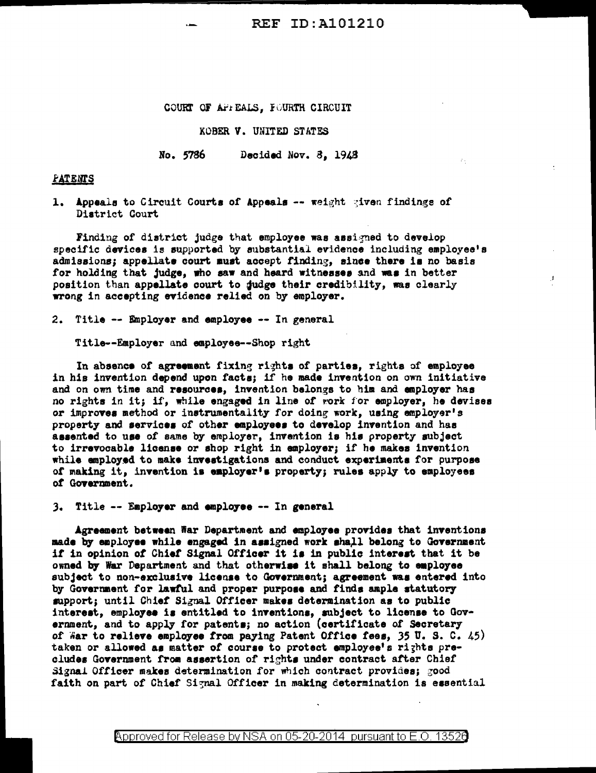## REF ID:A101210

έ÷.

J.

COURT OF AFIEALS, FOURTH CIRCUIT

KOBER V. UNITED STATES

No. 5786 Decided Nov. 8, 1948

**FATENTS** 

1. Appeals to Circuit Courts of Appeals -- weight given findings of District Court

Finding of district judge that employee was assigned to develop specific devices is supported by substantial evidence including employee's admissions; appellate court must accept finding, since there is no basis for holding that judge, who saw and heard witnesses and was in better position than appellate court to gudge their credibility, was clearly wrong in accepting evidence relied on by employer.

2. Title -- Employer and employee -- In general

Title--Employer and employee--Shop right

In absence of agreement fixing rights of parties, rights of employee in his invention depend upon facts; if he made invention on own initiative and on own time and resources, invention belongs to him and employer has no rights in it; if, while engaged in line of vork for employer, he devises or improves method or instrumentality for doing work, using employer's property and services of other employees to develop invention and has aaaentad to use of same by employer, invention is hie property subject to irreYOcable license or shop right in employer; if ha makes invention while employed to make inveetigations and conduct experiaents for purpose of making it, invention is employer's property; rules apply to employees *ot* Gcwernment.

). Title -- Emplo7er and empl07ee -- In general

Agreement between War Department and employee provides that inventions made by employee while engaged in assigned work shall belong to Government it in opinion *ot* Chief Signal Officer it ia in public intereat that it be owned by War Department and that otherwise it shall belong to employee subject to non-exclusive license to Government; agreement was entered into by Government for lawtul and proper purpoae and finda ample statutory' support; until Chief Signal Officer makes determination as to public interest, employee is entitled to inventions, subject to license to Government, and to apply for patenta; no action (certificate *of* Secretary of  $\overline{a}$  ar to relieve employee from paying Patent Office fees, 35 U.S. C. 45) taken or allowed as matter of course to protect employee's rights precludes Government from assertion of rights under contract after Chief Signal Officer makes determination for which contract provides; good faith on part of Chief Signal Officer in making determination is essential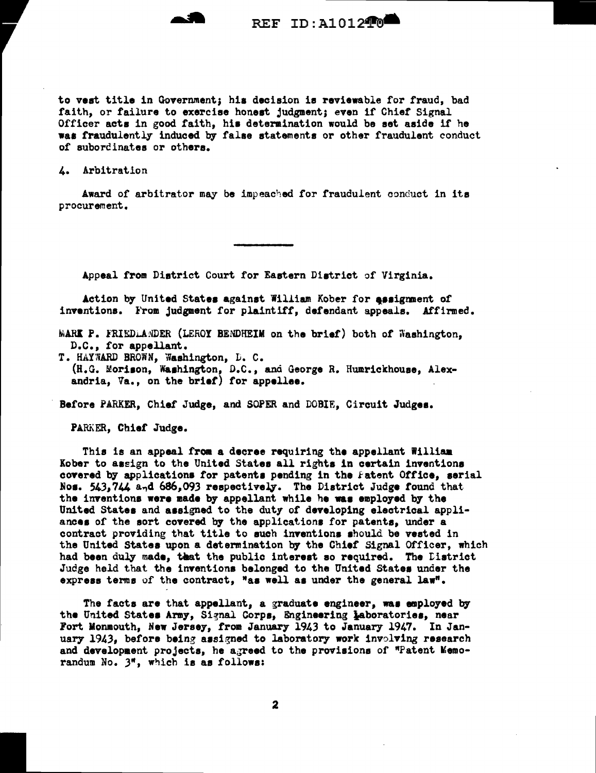

REF ID: A101240

to vest title in Government; his decision is reviewable for fraud, bad faith, or failure to exercise honest judgment; even if Chief Signal Officer acts in good faith, his determination would be set aside if he was fraudulently induced by false statements or other fraudulent conduct of subordinates or others.

4. Arbitration

Award of arbitrator may be impeached for fraudulent conduct in its procurement.

Appeal from District Court for Eastern District of Virginia.

Action by United States against William Kober for assignment of inventions. From judgment for plaintiff, defendant appeals. Affirmed.

MARK P. FRIEDLANDER (LEROY BENDHEIM on the brief) both of Washington, D.C., for appellant.

T. HAYWARD BROWN, Washington, D. C. (H.G. Morison, Washington, D.C., and George R. Humrickhouse, Alexandria, Va., on the brief) for appellee.

Before PARKER, Chief Judge, and SOPER and DOBIE, Circuit Judges.

PARKER, Chief Judge.

This is an appeal from a decree requiring the appellant William Kober to assign to the United States all rights in certain inventions covered by applications for patents pending in the Fatent Office, serial Nos. 543.744 and 686.093 respectively. The District Judge found that the inventions were made by appellant while he was employed by the United States and assigned to the duty of developing electrical appliances of the sort covered by the applications for patents, under a contract providing that title to such inventions should be vested in the United States upon a determination by the Chief Signal Officer, which had been duly made, that the public interest so required. The Listrict Judge held that the inventions belonged to the United States under the express terms of the contract, "as well as under the general law".

The facts are that appellant, a graduate engineer, was employed by the United States Army, Signal Corps, Engineering Laboratories, near Fort Monmouth, New Jersey, from January 1943 to January 1947. In January 1943, before being assigned to laboratory work involving research and development projects, he agreed to the provisions of "Patent Memorandum No. 3", which is as follows: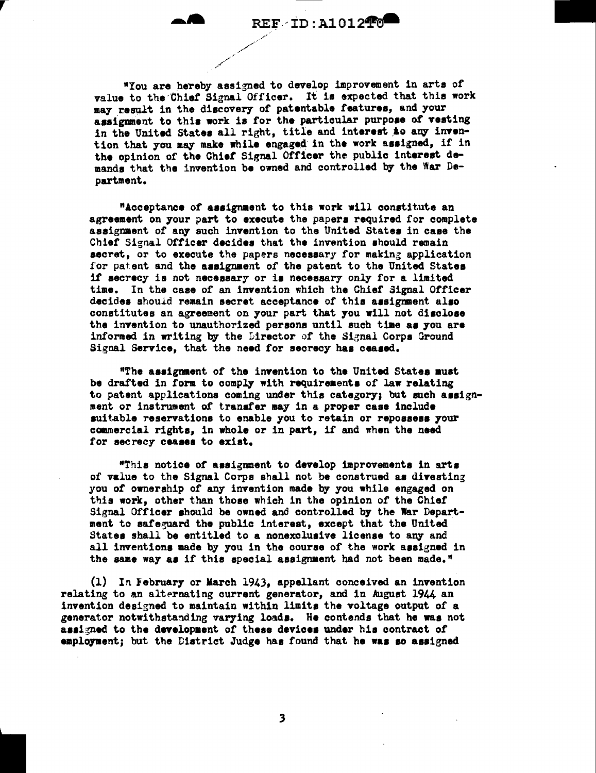"You are hereby assigned to develop improvement in arts of value to the Chief Signal Officer. It is expected that this work may result in the discovery of patentable features, and your assignment to this work is for the particular purpose of vesting in the United States all right, title and interest to any invention that you may make while engaged in the work assigned, if in the opinion of the Chief Signal Officer the public interest demands that the invention be owned and controlled by the War Department.

"Acceptance of assignment to this work will constitute an agreement on your part to execute the papers required for complete assignment of any such invention to the United States in case the Chief Signal Officer decides that the invention should remain secret, or to execute the papers necessary for making application for patent and the assignment of the patent to the United States if secrecy is not necessary or is necessary only for a limited time. In the case of an invention which the Chief Signal Officer decides should remain secret acceptance of this assignment also constitutes an agreement on your part that you will not disclose the invention to unauthorized persons until such time as you are informed in writing by the Director of the Signal Corps Ground Signal Service, that the need for secrecy has ceased.

"The assignment of the invention to the United States must be drafted in form to comply with requirements of law relating to patent applications coming under this category; but such assignment or instrument of transfer may in a proper case include suitable reservations to enable you to retain or repossess your commercial rights, in whole or in part, if and when the need for secrecy ceases to exist.

"This notice of assignment to develop improvements in arts of value to the Signal Corps shall not be construed as divesting you of ownership of any invention made by you while engaged on this work, other than those which in the opinion of the Chief Signal Officer should be owned and controlled by the War Department to safeguard the public interest, except that the United States shall be entitled to a nonexclusive license to any and all inventions made by you in the course of the work assigned in the same way as if this special assignment had not been made."

(1) In February or March 1943, appellant conceived an invention relating to an alternating current generator, and in August 1944 an invention designed to maintain within limits the voltage output of a generator notwithstanding varying loads. He contends that he was not assigned to the development of these devices under his contract of employment; but the District Judge has found that he was so assigned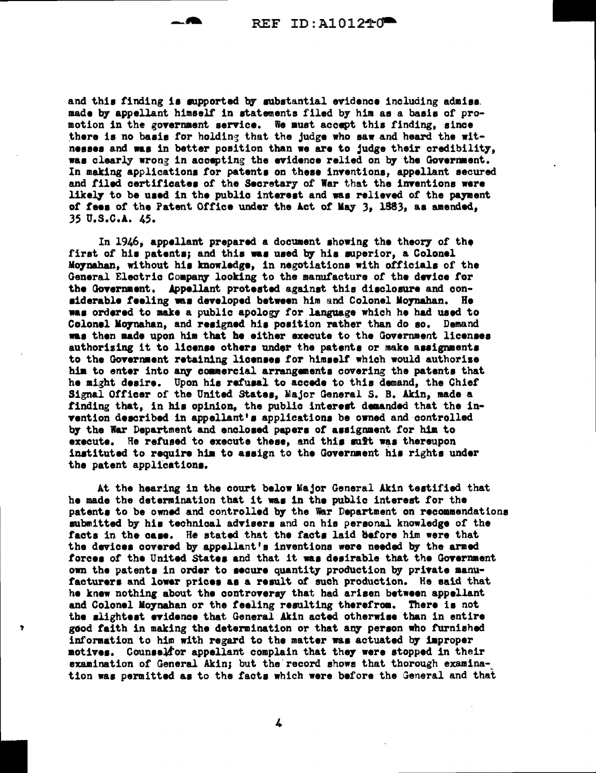and this finding is supported by substantial evidence including admiss. made by appellant himself in statements filed by him as a basis of promotion in the goyernaent service. We must accept this finding, since there is no basis for holding that the judge who saw and heard the witnesses and was in better position than we are to judge their credibility. was clearly wrong in accepting the evidence relied on by the Government. In making applications for patents on these inventions, appellant secured and filed certificates of the Secretary of War that the inventions were likely to be used in the public interest and was relieved of the payment of fees of the Patent Office under the Act of May 3, 1883, as amended, 35 u.s.c.A. 45.

In 1946, appellant prepared a document showing the theory of the first of his patents; and this was used by his superior, a Colonel M07nahan, without h11 knowledge, in negotiations with officials of the General Electric Company looking to the manufacture of the device for the Government. Appellant protested against this disclosure and considerable feeling was developed between him and Colonel Moynahan. He waa ordered to make a public apology for language which he had used to Colonel Moynahan, and resigned his position rather than do so. Demand waa then made upon him that he either execute to the Government licensee authorizing it to license others under the patents or make assignments to the Government retaining licenses for himself which would authorize him to enter into any commercial arrangements covering the patents that he might desire. Upon hia retuaal to accede to this demand, the Chief Signal Officer of the United States, Major General S. B. Akin, made a tinding that, in hia opinion, the public intereat daaanded that the invention described in appellant's applications be owned and controlled by the War Department and enclosed papers of assignment for him to execute. He refused to execute these, and this suff was thereupon instituted to require him to assign to the Government his rights under the patent applications.

At the hearing in the court below Major General Akin testified that he made the determination that it was in the public interest for the patents to be owned and controlled by the War Department on recommendations submitted by his technical advisers and on his personal knowledge of the facts in the case. He stated that the facts laid before him were that the devices covered by appellant's inventions were needed by the armed forces of the United States and that it was desirable that the Government own the patents in order to secure quantity production by private manufacturers and lower prices as a result of such production. He said that he knew nothing about the controversy that had arisen between appellant and Colonel Moynahan or the feeling resulting therefrom. There is not the slightest evidence that General Akin acted otherwise than in entire good faith in making the determination or that any person who furnished information to him with regard to the matter was actuated by improper motives. Counselfor appellant complain that they were stopped in their examination of General Akin; but the record shows that thorough examination waa permitted ae to the facts which were before the General and that

4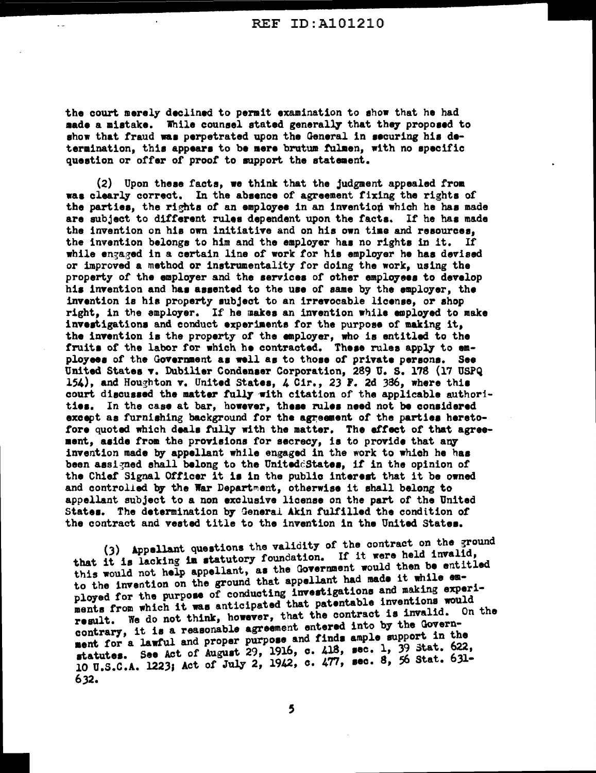the court merely declined to permit examination to ehow that he had made a mistake. While counsel stated generally that they proposed to show that fraud was perpetrated upon the General in securing his determination, this appears to be mere brutum fulmen, with no specific question or offer of proof to support the statement.

 $\ddot{\phantom{0}}$ 

(2) Upon these facts, we think that the judgment appealed from waa clearly correct. In the absence of agreement fixing the rights of the parties, the rights of an employee in an invention which he has made are subject to different rules dependent upon the facta. If he has made the invention on his own initiative and on his own time and resources, the invention belongs to him and the employer haa no righta in it. If while engaged in a certain line of work for his employer he has devised or improved a method or instrumentality for doing the work, using the property of the employer and the aervices of other employees to develop hie invention and haa aeaented to the use of same by the employer, the invention is hie property subject to an irrevocable license, or shop right, in the employer. If he makes an invention while employed to make investigations and conduct experiments for the purpose of making it. the invention is the property of the employer, who is entitled to the fruits of the labor for which he contracted. These rules apply to  $e^{\frac{1}{2}}$ ployees of the Government as well as to those of private persons. See United States v. Dubilier Condenser Corporation, 289 U.S. 178 (17 USPQ) 154), and Houghton v. United States,  $4$  Cir., 23 F. 2d 386, where this court discussed the matter fully with citation of the applicable authorities. In the case at bar, however, these rulea need not be conaidered except as furnishing background for the agreement of the parties heretofore quoted which deals fully with the matter. The effect of that agreement, aside from the provisions for secrecy, is to provide that any invention made by appellant while engaged in the work to which he hae been assigned shall belong to the Uniteddistates, if in the opinion of the Chief Signal Officer it is in the public interest that it be owned and controlled by the War Department, otherwise it shall belong to appellant subject to a non exclusive license on the part of the United Statea. The determination b7 General Akin fulfilled the condition *ot*  the contract and vested title to the invention in the United Statea.

(3) Appellant questions the validity of the contract on the ground that it is lacking in statutory foundation. If it were held invalid, this would not help appellant, as the Government would then be entitled to the invention on the ground that appellant had made it while employed for the purpose of conducting investigations and making experiments from which it was anticipated that patentable inventions would result. We do not think, however, that the contract is invalid. On the contrary, it is a reasonable agreement entered into by the Govern-<br>ment for a lawful and proper purpose and finds ample support in the statutes. See Act of August 29, 1916, c. 418, sec. l, 39 stat. 622, 10 u.s.c:A. 1223; Act of July 2, 1942, c. 477, sec. 8, 56 Stat. 631- 632.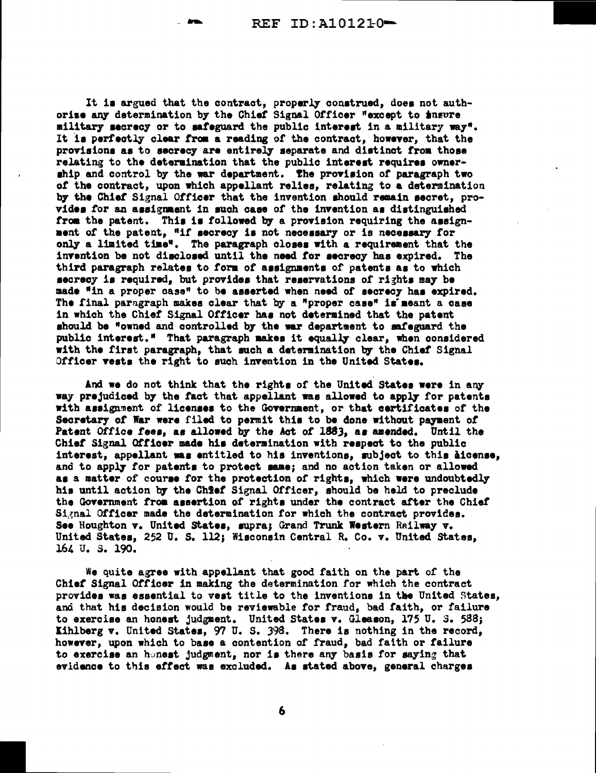It is argued that the contract, properly construed, does not authorize any determination by the Chief Signal Officer "except to insure military secrecy or to safeguard the public interest in a military way". It is perfectly clear from a reading of the contract, however, that the provisions as to secrecy are entirely separate and distinct from those relating to the determination that the public interest requires ownership and control by the war department. The provision of paragraph two of the contract, upon which appellant relies, relating to a determination by the Chief Signal Officer that the invention should remain secret, provides for an assignment in such case of the invention as distinguished from the patent. This is followed by a provision requiring the assignment of the patent, "if secrecy is not necessary or is necessary for only a limited time". The paragraph closes with a requirement that the invention be not disclosed until the need for secrecy has expired. The third paragraph relates to form of assignments of patents as to which secrecy is required, but provides that reservations of rights may be made "in a proper case" to be asserted when need of secrecy has expired. The final paragraph makes clear that by a "proper case" is meant a case in which the Chief Signal Officer has not determined that the patent should be "owned and controlled by the war department to safeguard the public interest." That paragraph makes it equally clear, when considered with the first paragraph, that such a determination by the Chief Signal Officer vests the right to such invention in the United States.

And we do not think that the rights of the United States were in any way prejudiced by the fact that appellant was allowed to apply for patents with assignment of licenses to the Government, or that certificates of the Secretary of War were filed to permit this to be done without payment of Patent Office fees, as allowed by the Act of 1883, as amended. Until the Chief Signal Officer made his determination with respect to the public interest, appellant was entitled to his inventions, subject to this aicense, and to apply for patents to protect same; and no action taken or allowed as a matter of course for the protection of rights, which were undoubtedly his until action by the Chief Signal Officer, should be held to preclude the Government from assertion of rights under the contract after the Chief Signal Officer made the determination for which the contract provides. See Houghton v. United States, supra; Grand Trunk Western Railway v. United States, 252 U.S. 112; Wisconsin Central R. Co. v. United States, 164 U.S. 190.

We quite agree with appellant that good faith on the part of the Chief Signal Officer in making the determination for which the contract provides was essential to vest title to the inventions in the United States, and that his decision would be reviewable for fraud, bad faith, or failure to exercise an honest judgment. United States v. Gleason, 175 U. S. 588; Kihlberg v. United States, 97 U.S. 398. There is nothing in the record, however, upon which to base a contention of fraud, bad faith or failure to exercise an honest judgment, nor is there any basis for saying that evidence to this effect was excluded. As stated above, general charges